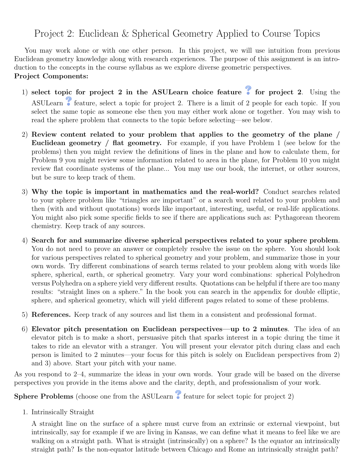## Project 2: Euclidean & Spherical Geometry Applied to Course Topics

You may work alone or with one other person. In this project, we will use intuition from previous Euclidean geometry knowledge along with research experiences. The purpose of this assignment is an introduction to the concepts in the course syllabus as we explore diverse geometric perspectives. Project Components:

- 1) select topic for project 2 in the ASULearn choice feature  $\bullet$  for project 2. Using the ASULearn **f**eature, select a topic for project 2. There is a limit of 2 people for each topic. If you select the same topic as someone else then you may either work alone or together. You may wish to read the sphere problem that connects to the topic before selecting—see below.
- 2) Review content related to your problem that applies to the geometry of the plane / Euclidean geometry / flat geometry. For example, if you have Problem 1 (see below for the problems) then you might review the definitions of lines in the plane and how to calculate them, for Problem 9 you might review some information related to area in the plane, for Problem 10 you might review flat coordinate systems of the plane... You may use our book, the internet, or other sources, but be sure to keep track of them.
- 3) Why the topic is important in mathematics and the real-world? Conduct searches related to your sphere problem like "triangles are important" or a search word related to your problem and then (with and without quotations) words like important, interesting, useful, or real-life applications. You might also pick some specific fields to see if there are applications such as: Pythagorean theorem chemistry. Keep track of any sources.
- 4) Search for and summarize diverse spherical perspectives related to your sphere problem. You do not need to prove an answer or completely resolve the issue on the sphere. You should look for various perspectives related to spherical geometry and your problem, and summarize those in your own words. Try different combinations of search terms related to your problem along with words like sphere, spherical, earth, or spherical geometry. Vary your word combinations: spherical Polyhedron versus Polyhedra on a sphere yield very different results. Quotations can be helpful if there are too many results: "straight lines on a sphere." In the book you can search in the appendix for double elliptic, sphere, and spherical geometry, which will yield different pages related to some of these problems.
- 5) References. Keep track of any sources and list them in a consistent and professional format.
- 6) Elevator pitch presentation on Euclidean perspectives—up to 2 minutes. The idea of an elevator pitch is to make a short, persuasive pitch that sparks interest in a topic during the time it takes to ride an elevator with a stranger. You will present your elevator pitch during class and each person is limited to 2 minutes—your focus for this pitch is solely on Euclidean perspectives from 2) and 3) above. Start your pitch with your name.

As you respond to 2–4, summarize the ideas in your own words. Your grade will be based on the diverse perspectives you provide in the items above and the clarity, depth, and professionalism of your work.

**Sphere Problems** (choose one from the ASULearn  $\bullet$  feature for select topic for project 2)

1. Intrinsically Straight

A straight line on the surface of a sphere must curve from an extrinsic or external viewpoint, but intrinsically, say for example if we are living in Kansas, we can define what it means to feel like we are walking on a straight path. What is straight (intrinsically) on a sphere? Is the equator an intrinsically straight path? Is the non-equator latitude between Chicago and Rome an intrinsically straight path?